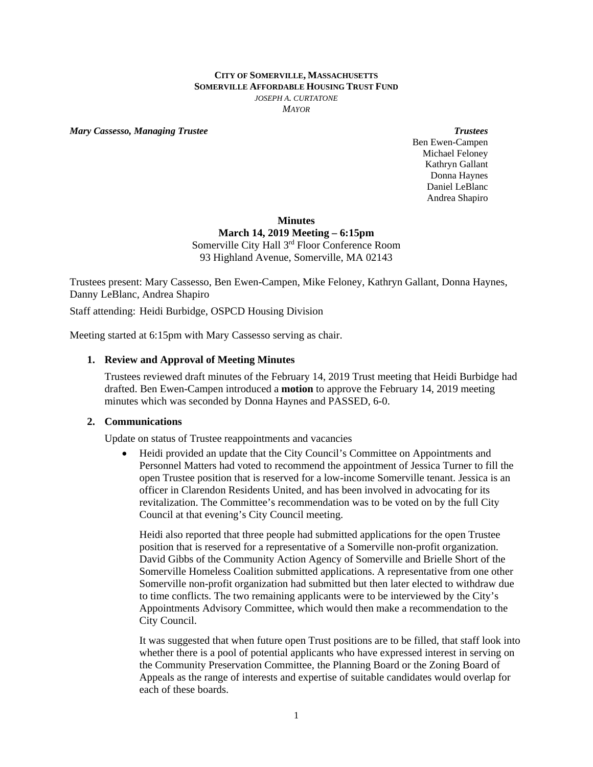#### **CITY OF SOMERVILLE, MASSACHUSETTS SOMERVILLE AFFORDABLE HOUSING TRUST FUND** *JOSEPH A. CURTATONE MAYOR*

*Mary Cassesso, Managing Trustee* **Trustees Trustees Trustees Trustees** 

Ben Ewen-Campen Michael Feloney Kathryn Gallant Donna Haynes Daniel LeBlanc Andrea Shapiro

## **Minutes March 14, 2019 Meeting – 6:15pm**  Somerville City Hall 3rd Floor Conference Room

93 Highland Avenue, Somerville, MA 02143

Trustees present: Mary Cassesso, Ben Ewen-Campen, Mike Feloney, Kathryn Gallant, Donna Haynes, Danny LeBlanc, Andrea Shapiro

Staff attending: Heidi Burbidge, OSPCD Housing Division

Meeting started at 6:15pm with Mary Cassesso serving as chair.

# **1. Review and Approval of Meeting Minutes**

Trustees reviewed draft minutes of the February 14, 2019 Trust meeting that Heidi Burbidge had drafted. Ben Ewen-Campen introduced a **motion** to approve the February 14, 2019 meeting minutes which was seconded by Donna Haynes and PASSED, 6-0.

#### **2. Communications**

Update on status of Trustee reappointments and vacancies

 Heidi provided an update that the City Council's Committee on Appointments and Personnel Matters had voted to recommend the appointment of Jessica Turner to fill the open Trustee position that is reserved for a low-income Somerville tenant. Jessica is an officer in Clarendon Residents United, and has been involved in advocating for its revitalization. The Committee's recommendation was to be voted on by the full City Council at that evening's City Council meeting.

Heidi also reported that three people had submitted applications for the open Trustee position that is reserved for a representative of a Somerville non-profit organization. David Gibbs of the Community Action Agency of Somerville and Brielle Short of the Somerville Homeless Coalition submitted applications. A representative from one other Somerville non-profit organization had submitted but then later elected to withdraw due to time conflicts. The two remaining applicants were to be interviewed by the City's Appointments Advisory Committee, which would then make a recommendation to the City Council.

It was suggested that when future open Trust positions are to be filled, that staff look into whether there is a pool of potential applicants who have expressed interest in serving on the Community Preservation Committee, the Planning Board or the Zoning Board of Appeals as the range of interests and expertise of suitable candidates would overlap for each of these boards.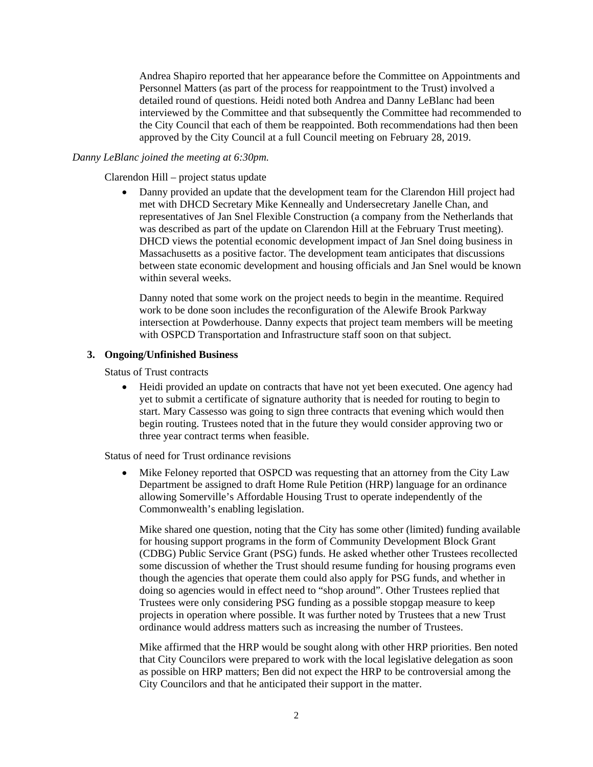Andrea Shapiro reported that her appearance before the Committee on Appointments and Personnel Matters (as part of the process for reappointment to the Trust) involved a detailed round of questions. Heidi noted both Andrea and Danny LeBlanc had been interviewed by the Committee and that subsequently the Committee had recommended to the City Council that each of them be reappointed. Both recommendations had then been approved by the City Council at a full Council meeting on February 28, 2019.

#### *Danny LeBlanc joined the meeting at 6:30pm.*

Clarendon Hill – project status update

 Danny provided an update that the development team for the Clarendon Hill project had met with DHCD Secretary Mike Kenneally and Undersecretary Janelle Chan, and representatives of Jan Snel Flexible Construction (a company from the Netherlands that was described as part of the update on Clarendon Hill at the February Trust meeting). DHCD views the potential economic development impact of Jan Snel doing business in Massachusetts as a positive factor. The development team anticipates that discussions between state economic development and housing officials and Jan Snel would be known within several weeks.

Danny noted that some work on the project needs to begin in the meantime. Required work to be done soon includes the reconfiguration of the Alewife Brook Parkway intersection at Powderhouse. Danny expects that project team members will be meeting with OSPCD Transportation and Infrastructure staff soon on that subject.

## **3. Ongoing/Unfinished Business**

Status of Trust contracts

 Heidi provided an update on contracts that have not yet been executed. One agency had yet to submit a certificate of signature authority that is needed for routing to begin to start. Mary Cassesso was going to sign three contracts that evening which would then begin routing. Trustees noted that in the future they would consider approving two or three year contract terms when feasible.

Status of need for Trust ordinance revisions

 Mike Feloney reported that OSPCD was requesting that an attorney from the City Law Department be assigned to draft Home Rule Petition (HRP) language for an ordinance allowing Somerville's Affordable Housing Trust to operate independently of the Commonwealth's enabling legislation.

Mike shared one question, noting that the City has some other (limited) funding available for housing support programs in the form of Community Development Block Grant (CDBG) Public Service Grant (PSG) funds. He asked whether other Trustees recollected some discussion of whether the Trust should resume funding for housing programs even though the agencies that operate them could also apply for PSG funds, and whether in doing so agencies would in effect need to "shop around". Other Trustees replied that Trustees were only considering PSG funding as a possible stopgap measure to keep projects in operation where possible. It was further noted by Trustees that a new Trust ordinance would address matters such as increasing the number of Trustees.

Mike affirmed that the HRP would be sought along with other HRP priorities. Ben noted that City Councilors were prepared to work with the local legislative delegation as soon as possible on HRP matters; Ben did not expect the HRP to be controversial among the City Councilors and that he anticipated their support in the matter.